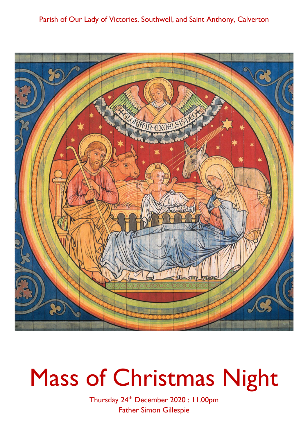## Parish of Our Lady of Victories, Southwell, and Saint Anthony, Calverton



# Mass of Christmas Night

Thursday 24th December 2020: II.00pm **Father Simon Gillespie**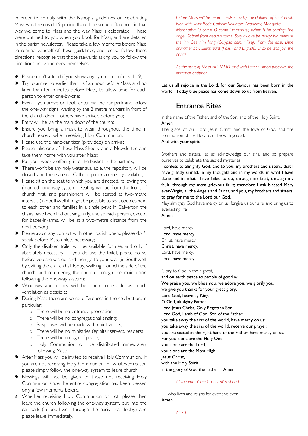In order to comply with the Bishop's guidelines on celebrating Masses in the covid-19 period there'll be some differences in that way we come to Mass and the way Mass is celebrated. These were outlined to you when you book for Mass, and are detailed in the parish newsletter. Please take a few moments before Mass to remind yourself of these guidelines, and please follow these directions, recognise that those stewards asking you to follow the directions are volunteers themselves:

- **※** Please don't attend if you show any symptoms of covid-19;
- $\overline{∗}$  Try to arrive no earlier than half an hour before Mass, and no later than ten minutes before Mass, to allow time for each person to enter one-by-one;
- $\Phi$  Even if you arrive on foot, enter via the car park and follow the one-way signs, waiting by the 2 metre markers in front of the church door if others have arrived before you;
- $\overline{•}$  Entry will be via the main door of the church:
- $\overline{∗}$  Ensure you bring a mask to wear throughout the time in church, except when receiving Holy Communion;
- $\Phi$  Please use the hand-sanitiser (provided) on arrival;
- $\overline{∗}$  Please take one of these Mass Sheets, and a Newsletter, and take them home with you after Mass;
- $\Phi$  Put your weekly offering into the basket in the narthex;
- There won't be any holy water available, the repository will be closed, and there are no Catholic papers currently available;
- $\overline{∗}$  Please sit on the seat to which you are directed, following the (marked) one-way system. Seating will be from the front of church first, and parishioners will be seated at two-metre intervals (in Southwell it might be possible to seat couples next to each other, and families in a single pew; in Calverton the chairs have been laid out singularly, and so each person, except for babes-in-arms, will be at a two-metre distance from the next person):
- $\overline{∗}$  Please avoid any contact with other parishioners; please don't speak before Mass unless necessary;
- $\Phi$  Only the disabled toilet will be available for use, and only if absolutely necessary. If you do use the toilet, please do so before you are seated, and then go to your seat (in Southwell, by exiting the church hall lobby, walking around the side of the church, and re-entering the church through the main door, following the one-way system);
- \* Windows and doors will be open to enable as much ventilation as possible;
- $\Phi$  During Mass there are some differences in the celebration, in particular:
	- o There will be no entrance procession;
	- o There will be no congregational singing;
	- o Responses will be made with quiet voices;
	- o There will be no ministries (eg altar servers, readers);
	- o There will be no sign of peace;
	- o Holy Communion will be distributed immediately following Mass;
- After Mass you will be invited to receive Holy Communion. If you are not receiving Holy Communion for whatever reason please simply follow the one-way system to leave church.
- **E** Blessings will not be given to those not receiving Holy Communion since the entire congregation has been blessed only a few moments before.
- \* Whether receiving Holy Communion or not, please then leave the church following the one-way system, out into the car park (in Southwell, through the parish hall lobby) and please leave immediately.

Before Mass will be heard carols sung by the children of Saint Philip Neri with Saint Bede Catholic Voluntary Academy, Mansfield: Maranatha; O come, O come Emmanuel; When is he coming; The angel Gabriel from heaven came; Stay awake be ready; No room at the inn; See him lying (Calypso carol); Kings from the east; Little drummer boy; Silent night (Polish and English); O come and join the  $d$ ance

As the start of Mass all STAND, and with Father Simon proclaim the entrance antiphon:

Let us all rejoice in the Lord, for our Saviour has been born in the world. Today true peace has come down to us from heaven.

## **Entrance Rites**

In the name of the Father, and of the Son, and of the Holy Spirit. Amen.

The grace of our Lord lesus Christ, and the love of God, and the communion of the Holy Spirit be with you all.

#### And with your spirit.

Brothers and sisters, let us acknowledge our sins, and so prepare ourselves to celebrate the sacred mysteries.

I confess to almighty God, and to you, my brothers and sisters, that I have greatly sinned, in my thoughts and in my words, in what I have done and in what I have failed to do, through my fault, through my fault, through my most grievous fault; therefore I ask blessed Mary ever-Virgin, all the Angels and Saints, and you, my brothers and sisters, to pray for me to the Lord our God.

May almighty God have mercy on us, forgive us our sins, and bring us to everlasting life.

Amen.

Lord, have mercy. Lord, have mercy. Christ, have mercy. Christ, have mercy. Lord, have mercy. Lord, have mercy.

Glory to God in the highest,

and on earth peace to people of good will. We praise you, we bless you, we adore you, we glorify you, we give you thanks for your great glory, Lord God, heavenly King, O God, almighty Father. Lord Jesus Christ, Only Begotten Son, Lord God, Lamb of God, Son of the Father, you take away the sins of the world, have mercy on us; you take away the sins of the world, receive our prayer; you are seated at the right hand of the Father, have mercy on us. For you alone are the Holy One, you alone are the Lord, you alone are the Most High, Jesus Christ, with the Holy Spirit, in the glory of God the Father. Amen.

#### At the end of the Collect all respond:

... who lives and reigns for ever and ever. Amen.

All SIT.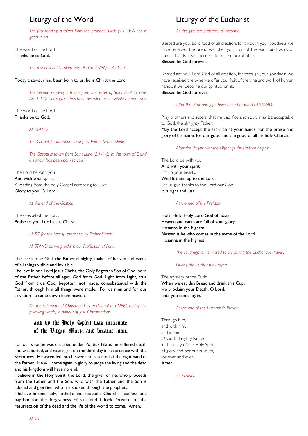## Liturgy of the Word

The first reading is taken from the prophet Isaiah (9:1-7): A Son is given to us.

The word of the Lord. Thanks be to God.

The responsorial is taken from Psalm 95(96): 1-3.11-13:

Today a saviour has been born to us: he is Christ the Lord.

The second reading is taken from the letter of Saint Paul to Titus (2:11-14): God's grace has been revealed to the whole human race.

The word of the Lord. Thanks be to God.

#### All STAND.

The Gospel Acclamation is sung by Father Simon alone.

The Gospel is taken from Saint Luke (2:1-14): 'In the town of David a saviour has been born to you.'

The Lord be with you. And with your spirit. A reading from the holy Gospel according to Luke. Glory to you, O Lord.

#### At the end of the Gospel:

The Gospel of the Lord. Praise to you, Lord Jesus Christ.

All SIT for the homily, preached by Father Simon.

#### All STAND as we proclaim our Profession of Faith:

I believe in one God, the Father almighty, maker of heaven and earth, of all things visible and invisible.

I believe in one Lord Jesus Christ, the Only Begotten Son of God, born of the Father before all ages. God from God, Light from Light, true God from true God, begotten, not made, consubstantial with the Father; through him all things were made. For us men and for our salvation he came down from heaven,

> On the solemnity of Christmas it is traditional to KNEEL during the following words, in honour of Jesus' incamation:

## and by the Holy Spirit was incarnate of the Đirgin Mary, and became man.

For our sake he was crucified under Pontius Pilate, he suffered death and was buried, and rose again on the third day in accordance with the Scriptures. He ascended into heaven and is seated at the right hand of the Father. He will come again in glory to judge the living and the dead and his kingdom will have no end.

I believe in the Holy Spirit, the Lord, the giver of life, who proceeds from the Father and the Son, who with the Father and the Son is adored and glorified, who has spoken through the prophets.

I believe in one, holy, catholic and apostolic Church. I confess one baptism for the forgiveness of sins and I look forward to the resurrection of the dead and the life of the world to come. Amen.

## Liturgy of the Eucharist

### As the gifts are prepared all respond:

Blessed are you. Lord God of all creation, for through your goodness we have received the bread we offer you: fruit of the earth and work of human hands, it will become for us the bread of life. Blessed he God forever

Blessed are you, Lord God of all creation, for through your goodness we have received the wine we offer you: fruit of the vine and work of human hands, it will become our spiritual drink. Blessed be God for ever.

#### After the altar and gifts have been prepared all STAND:

Pray brothers and sisters, that my sacrifice and yours may be acceptable to God, the almighty Father.

May the Lord accept the sacrifice at your hands, for the praise and glory of his name, for our good and the good of all his holy Church.

#### After the Prayer over the Offerings the Preface begins:

The Lord be with you. And with your spirit. Lift up your hearts. We lift them up to the Lord. Let us give thanks to the Lord our God. It is right and just.

#### At the end of the Preface:

Holy, Holy, Holy Lord God of hosts. Heaven and earth are full of your glory. Hosanna in the highest. Blessed is he who comes in the name of the Lord. Hosanna in the highest.

The congregation is invited to SIT during the Eucharistic Prayer.

#### During the Eucharistic Prayer.

The mystery of the Faith: When we eat this Bread and drink this Cup, we proclaim your Death, O Lord, until you come again.

#### At the end of the Eucharistic Prayer:

Through him, and with him. and in him O God, almighty Father, in the unity of the Holy Spirit. all glory and honour is yours, for ever and ever. Amen

#### All STAND.